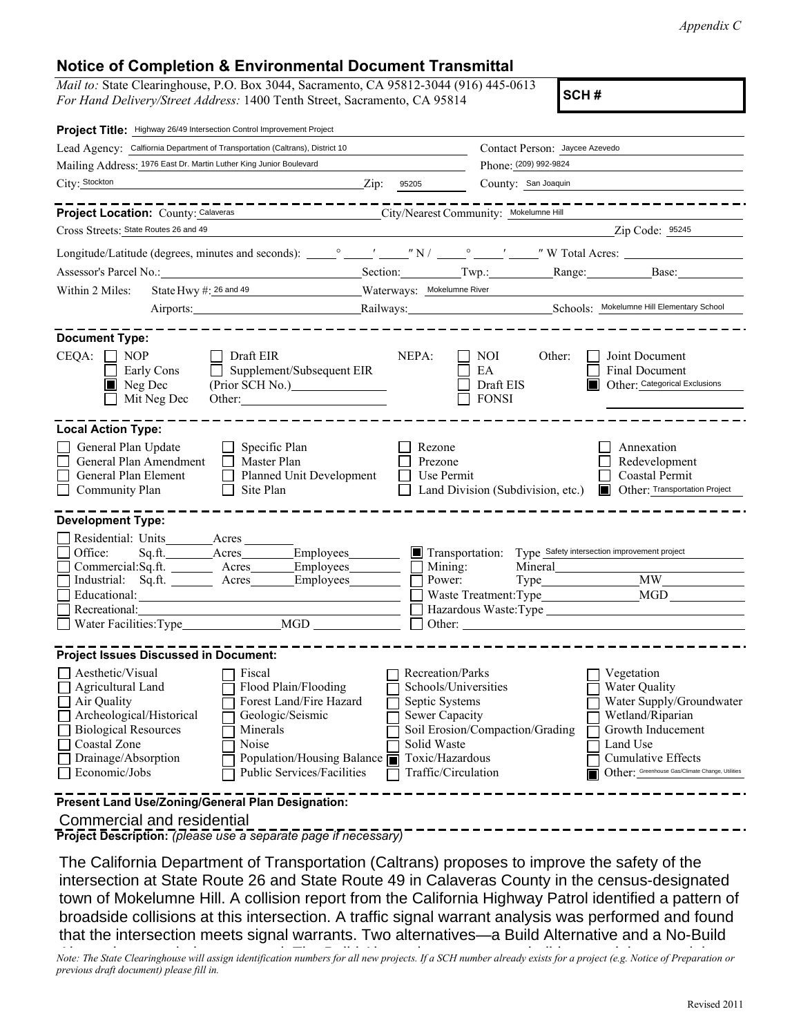*Appendix C*

## **Notice of Completion & Environmental Document Transmittal**

*Mail to:* State Clearinghouse, P.O. Box 3044, Sacramento, CA 95812-3044 (916) 445-0613 *For Hand Delivery/Street Address:* 1400 Tenth Street, Sacramento, CA 95814 **SCH #** 

| Project Title: Highway 26/49 Intersection Control Improvement Project                                                                                                                |                                                                                                                                                                               |                                                                                                               |                                                         |                                                                                                                                                                                       |
|--------------------------------------------------------------------------------------------------------------------------------------------------------------------------------------|-------------------------------------------------------------------------------------------------------------------------------------------------------------------------------|---------------------------------------------------------------------------------------------------------------|---------------------------------------------------------|---------------------------------------------------------------------------------------------------------------------------------------------------------------------------------------|
| Lead Agency: Calfiornia Department of Transportation (Caltrans), District 10                                                                                                         |                                                                                                                                                                               |                                                                                                               | Contact Person: Jaycee Azevedo                          |                                                                                                                                                                                       |
| Mailing Address: 1976 East Dr. Martin Luther King Junior Boulevard                                                                                                                   |                                                                                                                                                                               | Phone: (209) 992-9824                                                                                         |                                                         |                                                                                                                                                                                       |
| City: Stockton                                                                                                                                                                       | $\sum$ ip:                                                                                                                                                                    | 95205                                                                                                         | County: San Joaquin                                     |                                                                                                                                                                                       |
|                                                                                                                                                                                      | -------------                                                                                                                                                                 |                                                                                                               |                                                         |                                                                                                                                                                                       |
| <b>Project Location: County: Calaveras</b>                                                                                                                                           |                                                                                                                                                                               |                                                                                                               | City/Nearest Community: Mokelumne Hill                  |                                                                                                                                                                                       |
| Cross Streets: State Routes 26 and 49                                                                                                                                                |                                                                                                                                                                               |                                                                                                               |                                                         | Zip Code: 95245                                                                                                                                                                       |
|                                                                                                                                                                                      |                                                                                                                                                                               |                                                                                                               |                                                         |                                                                                                                                                                                       |
| Assessor's Parcel No.: Section: Section: Twp.: Range: Base: Base:                                                                                                                    |                                                                                                                                                                               |                                                                                                               |                                                         |                                                                                                                                                                                       |
| State Hwy #: 26 and 49<br>Within 2 Miles:                                                                                                                                            |                                                                                                                                                                               | Waterways: Mokelumne River                                                                                    |                                                         |                                                                                                                                                                                       |
|                                                                                                                                                                                      |                                                                                                                                                                               |                                                                                                               |                                                         | Railways: <u>Railways:</u> Schools: Mokelumne Hill Elementary School                                                                                                                  |
|                                                                                                                                                                                      |                                                                                                                                                                               |                                                                                                               |                                                         |                                                                                                                                                                                       |
| <b>Document Type:</b><br>$CEQA: \Box NP$<br>Early Cons<br>Neg Dec<br>Mit Neg Dec                                                                                                     | Draft EIR<br>Supplement/Subsequent EIR<br>(Prior SCH No.)<br>Other:                                                                                                           | NEPA:                                                                                                         | NOI<br>Other:<br>EA<br>Draft EIS<br><b>FONSI</b>        | Joint Document<br><b>Final Document</b><br>Other: Categorical Exclusions                                                                                                              |
| <b>Local Action Type:</b><br>General Plan Update<br>General Plan Amendment<br>General Plan Element<br><b>Community Plan</b>                                                          | $\Box$ Specific Plan<br>Master Plan<br>П<br>Planned Unit Development<br>Site Plan<br>$\mathsf{L}$                                                                             | Rezone<br>Prezone<br>Use Permit                                                                               | Land Division (Subdivision, etc.)                       | Annexation<br>Redevelopment<br>Coastal Permit<br>Other: Transportation Project<br>IП                                                                                                  |
| <b>Development Type:</b>                                                                                                                                                             |                                                                                                                                                                               |                                                                                                               |                                                         |                                                                                                                                                                                       |
| Residential: Units________Acres<br>Office:<br>Sq.ft. Acres<br>Commercial:Sq.ft. ________ Acres_______<br>Industrial: Sq.ft. _______ Acres<br>Recreational:<br>Water Facilities: Type | Employees<br>Employees<br>Employees<br><u> 1989 - Johann Barbara, martin amerikan basar dan berasal dalam basa dalam basa dalam basa dalam basa dalam b</u><br>MGD            | Mining:<br>Power:                                                                                             | Transportation:<br>Mineral<br>Other:                    | Type Safety intersection improvement project<br>$Type$ $MW$                                                                                                                           |
| <b>Project Issues Discussed in Document:</b>                                                                                                                                         |                                                                                                                                                                               |                                                                                                               |                                                         |                                                                                                                                                                                       |
| Aesthetic/Visual<br>Agricultural Land<br>Air Quality<br>Archeological/Historical<br><b>Biological Resources</b><br>Coastal Zone<br>Drainage/Absorption<br>Economic/Jobs              | Fiscal<br>Flood Plain/Flooding<br>Forest Land/Fire Hazard<br>Geologic/Seismic<br>Minerals<br>Noise<br>Population/Housing Balance $\blacksquare$<br>Public Services/Facilities | Recreation/Parks<br>Septic Systems<br>Sewer Capacity<br>Solid Waste<br>Toxic/Hazardous<br>Traffic/Circulation | Schools/Universities<br>Soil Erosion/Compaction/Grading | Vegetation<br>Water Quality<br>Water Supply/Groundwater<br>Wetland/Riparian<br>Growth Inducement<br>Land Use<br>Cumulative Effects<br>Other: Greenhouse Gas/Climate Change, Utilities |
| Present Land Use/Zoning/General Plan Designation:                                                                                                                                    |                                                                                                                                                                               |                                                                                                               |                                                         |                                                                                                                                                                                       |

Commercial and residential

**Project Description:** *(please use a separate page if necessary)*

The California Department of Transportation (Caltrans) proposes to improve the safety of the intersection at State Route 26 and State Route 49 in Calaveras County in the census-designated town of Mokelumne Hill. A collision report from the California Highway Patrol identified a pattern of broadside collisions at this intersection. A traffic signal warrant analysis was performed and found that the intersection meets signal warrants. Two alternatives—a Build Alternative and a No-Build

.<br>Note: The State Clearinghouse will assign identification numbers for all new projects. If a SCH number already exists for a project (e.g. Notice of Preparation or *previous draft document) please fill in.*